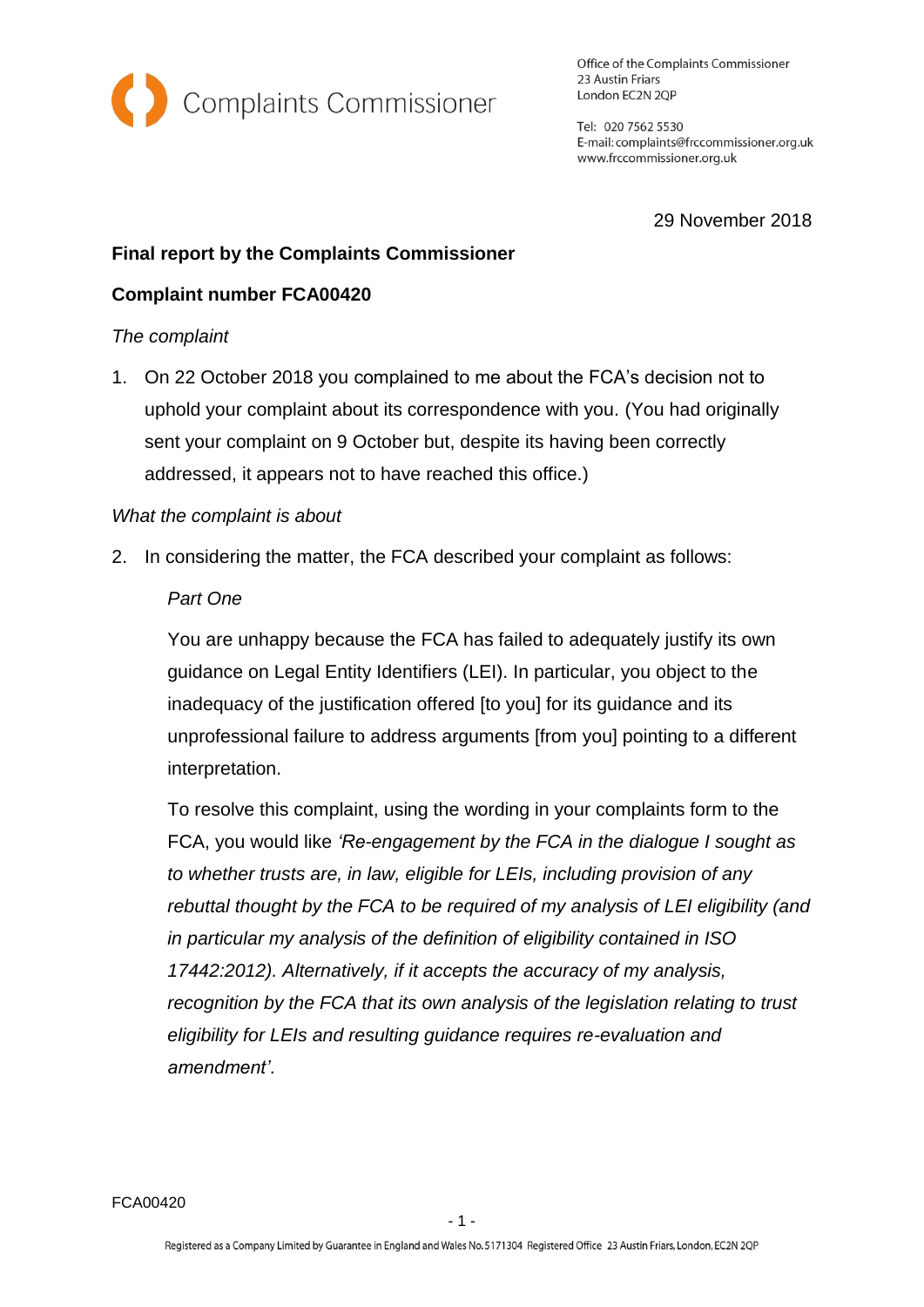

Office of the Complaints Commissioner 23 Austin Friars London EC2N 2QP

Tel: 020 7562 5530 E-mail: complaints@frccommissioner.org.uk www.frccommissioner.org.uk

29 November 2018

# **Final report by the Complaints Commissioner**

## **Complaint number FCA00420**

### *The complaint*

1. On 22 October 2018 you complained to me about the FCA's decision not to uphold your complaint about its correspondence with you. (You had originally sent your complaint on 9 October but, despite its having been correctly addressed, it appears not to have reached this office.)

#### *What the complaint is about*

2. In considering the matter, the FCA described your complaint as follows:

#### *Part One*

You are unhappy because the FCA has failed to adequately justify its own guidance on Legal Entity Identifiers (LEI). In particular, you object to the inadequacy of the justification offered [to you] for its guidance and its unprofessional failure to address arguments [from you] pointing to a different interpretation.

To resolve this complaint, using the wording in your complaints form to the FCA, you would like *'Re-engagement by the FCA in the dialogue I sought as to whether trusts are, in law, eligible for LEIs, including provision of any rebuttal thought by the FCA to be required of my analysis of LEI eligibility (and in particular my analysis of the definition of eligibility contained in ISO 17442:2012). Alternatively, if it accepts the accuracy of my analysis, recognition by the FCA that its own analysis of the legislation relating to trust eligibility for LEIs and resulting guidance requires re-evaluation and amendment'*.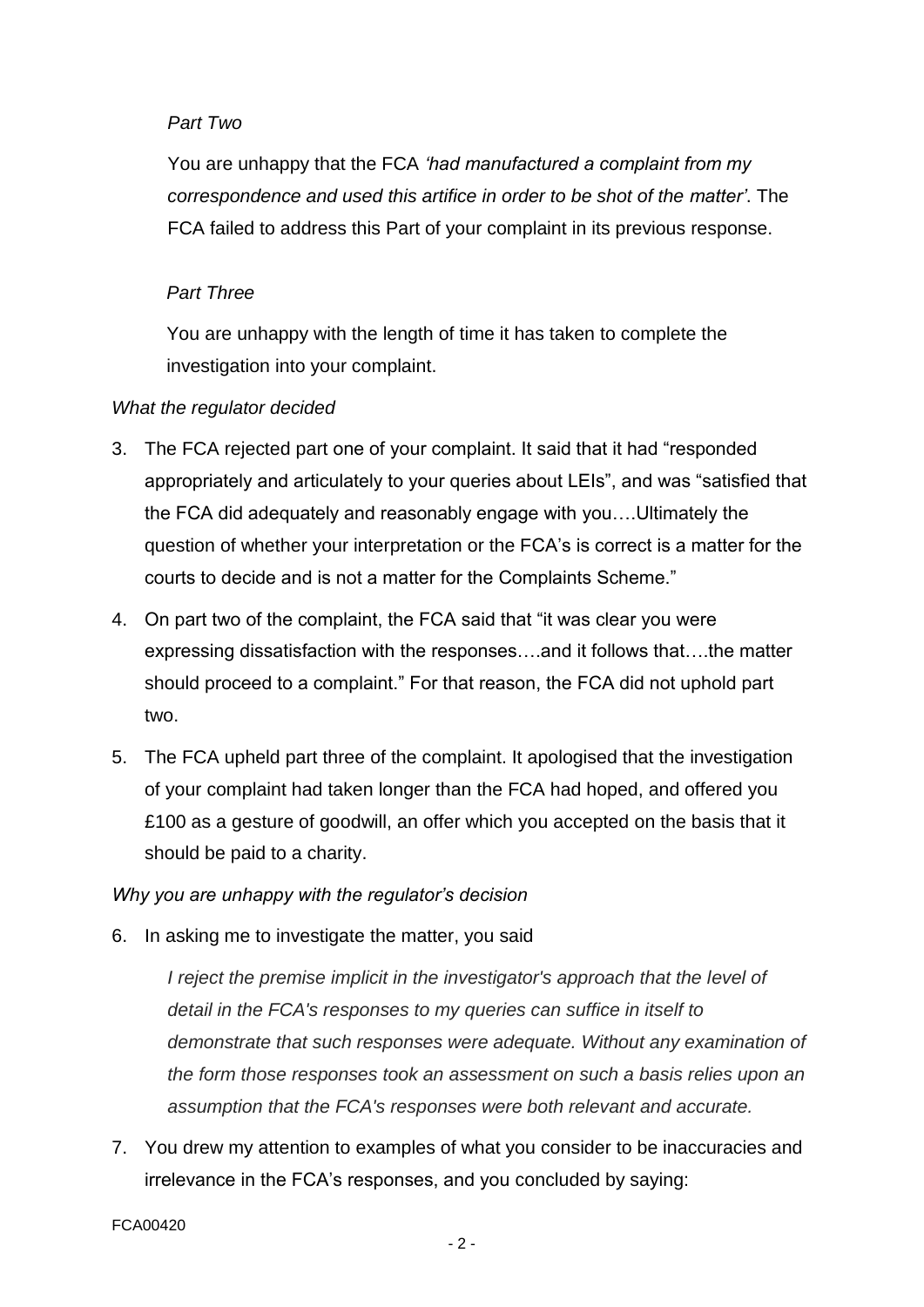## *Part Two*

You are unhappy that the FCA *'had manufactured a complaint from my correspondence and used this artifice in order to be shot of the matter'*. The FCA failed to address this Part of your complaint in its previous response.

### *Part Three*

You are unhappy with the length of time it has taken to complete the investigation into your complaint.

### *What the regulator decided*

- 3. The FCA rejected part one of your complaint. It said that it had "responded appropriately and articulately to your queries about LEIs", and was "satisfied that the FCA did adequately and reasonably engage with you….Ultimately the question of whether your interpretation or the FCA's is correct is a matter for the courts to decide and is not a matter for the Complaints Scheme."
- 4. On part two of the complaint, the FCA said that "it was clear you were expressing dissatisfaction with the responses….and it follows that….the matter should proceed to a complaint." For that reason, the FCA did not uphold part two.
- 5. The FCA upheld part three of the complaint. It apologised that the investigation of your complaint had taken longer than the FCA had hoped, and offered you £100 as a gesture of goodwill, an offer which you accepted on the basis that it should be paid to a charity.

# *Why you are unhappy with the regulator's decision*

6. In asking me to investigate the matter, you said

*I* reject the premise implicit in the investigator's approach that the level of *detail in the FCA's responses to my queries can suffice in itself to demonstrate that such responses were adequate. Without any examination of the form those responses took an assessment on such a basis relies upon an assumption that the FCA's responses were both relevant and accurate.*

7. You drew my attention to examples of what you consider to be inaccuracies and irrelevance in the FCA's responses, and you concluded by saying: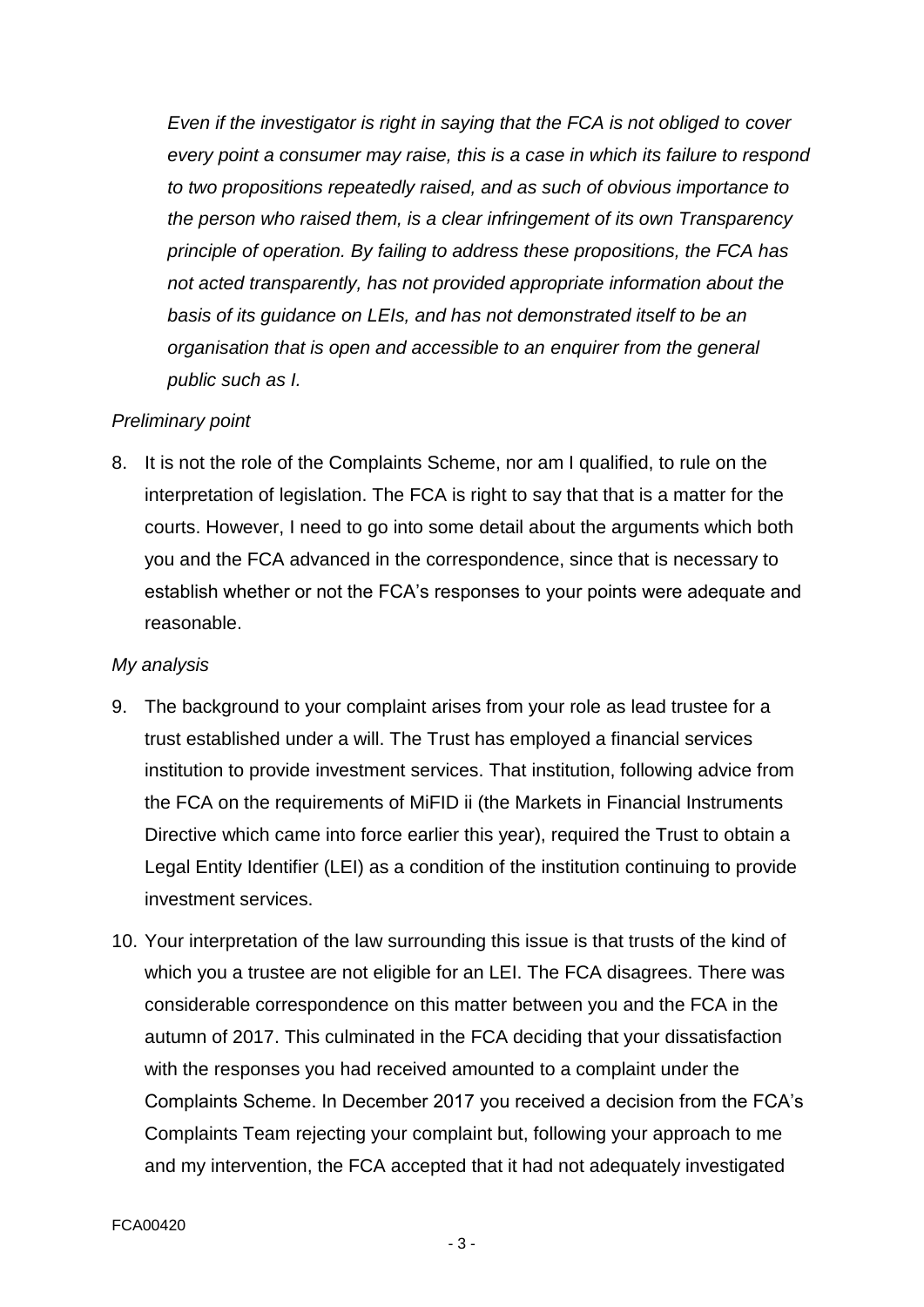*Even if the investigator is right in saying that the FCA is not obliged to cover every point a consumer may raise, this is a case in which its failure to respond to two propositions repeatedly raised, and as such of obvious importance to the person who raised them, is a clear infringement of its own Transparency principle of operation. By failing to address these propositions, the FCA has not acted transparently, has not provided appropriate information about the basis of its guidance on LEIs, and has not demonstrated itself to be an organisation that is open and accessible to an enquirer from the general public such as I.*

### *Preliminary point*

8. It is not the role of the Complaints Scheme, nor am I qualified, to rule on the interpretation of legislation. The FCA is right to say that that is a matter for the courts. However, I need to go into some detail about the arguments which both you and the FCA advanced in the correspondence, since that is necessary to establish whether or not the FCA's responses to your points were adequate and reasonable.

### *My analysis*

- 9. The background to your complaint arises from your role as lead trustee for a trust established under a will. The Trust has employed a financial services institution to provide investment services. That institution, following advice from the FCA on the requirements of MiFID ii (the Markets in Financial Instruments Directive which came into force earlier this year), required the Trust to obtain a Legal Entity Identifier (LEI) as a condition of the institution continuing to provide investment services.
- 10. Your interpretation of the law surrounding this issue is that trusts of the kind of which you a trustee are not eligible for an LEI. The FCA disagrees. There was considerable correspondence on this matter between you and the FCA in the autumn of 2017. This culminated in the FCA deciding that your dissatisfaction with the responses you had received amounted to a complaint under the Complaints Scheme. In December 2017 you received a decision from the FCA's Complaints Team rejecting your complaint but, following your approach to me and my intervention, the FCA accepted that it had not adequately investigated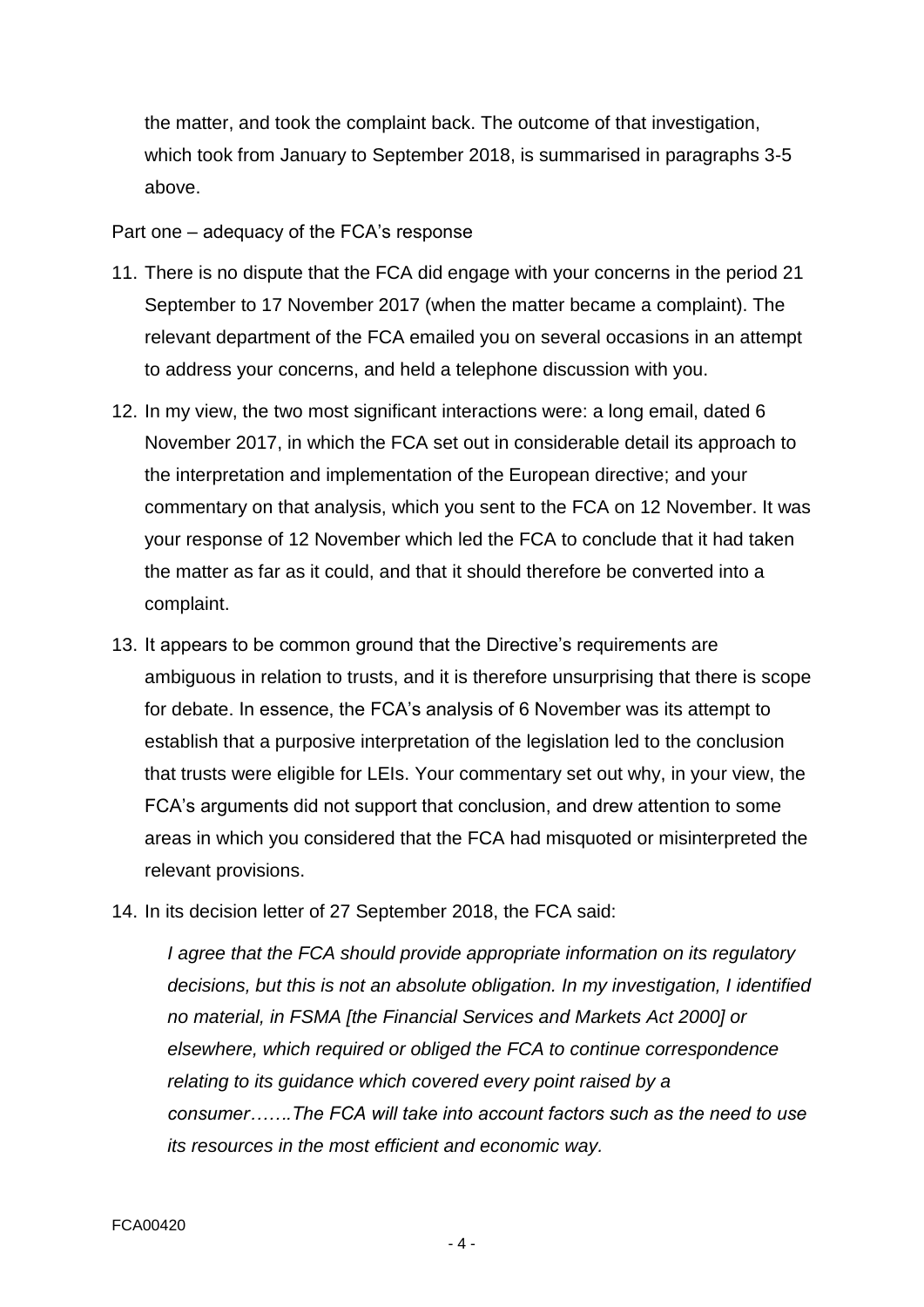the matter, and took the complaint back. The outcome of that investigation, which took from January to September 2018, is summarised in paragraphs 3-5 above.

Part one – adequacy of the FCA's response

- 11. There is no dispute that the FCA did engage with your concerns in the period 21 September to 17 November 2017 (when the matter became a complaint). The relevant department of the FCA emailed you on several occasions in an attempt to address your concerns, and held a telephone discussion with you.
- 12. In my view, the two most significant interactions were: a long email, dated 6 November 2017, in which the FCA set out in considerable detail its approach to the interpretation and implementation of the European directive; and your commentary on that analysis, which you sent to the FCA on 12 November. It was your response of 12 November which led the FCA to conclude that it had taken the matter as far as it could, and that it should therefore be converted into a complaint.
- 13. It appears to be common ground that the Directive's requirements are ambiguous in relation to trusts, and it is therefore unsurprising that there is scope for debate. In essence, the FCA's analysis of 6 November was its attempt to establish that a purposive interpretation of the legislation led to the conclusion that trusts were eligible for LEIs. Your commentary set out why, in your view, the FCA's arguments did not support that conclusion, and drew attention to some areas in which you considered that the FCA had misquoted or misinterpreted the relevant provisions.
- 14. In its decision letter of 27 September 2018, the FCA said:

*I agree that the FCA should provide appropriate information on its regulatory decisions, but this is not an absolute obligation. In my investigation, I identified no material, in FSMA [the Financial Services and Markets Act 2000] or elsewhere, which required or obliged the FCA to continue correspondence relating to its guidance which covered every point raised by a consumer…….The FCA will take into account factors such as the need to use its resources in the most efficient and economic way.*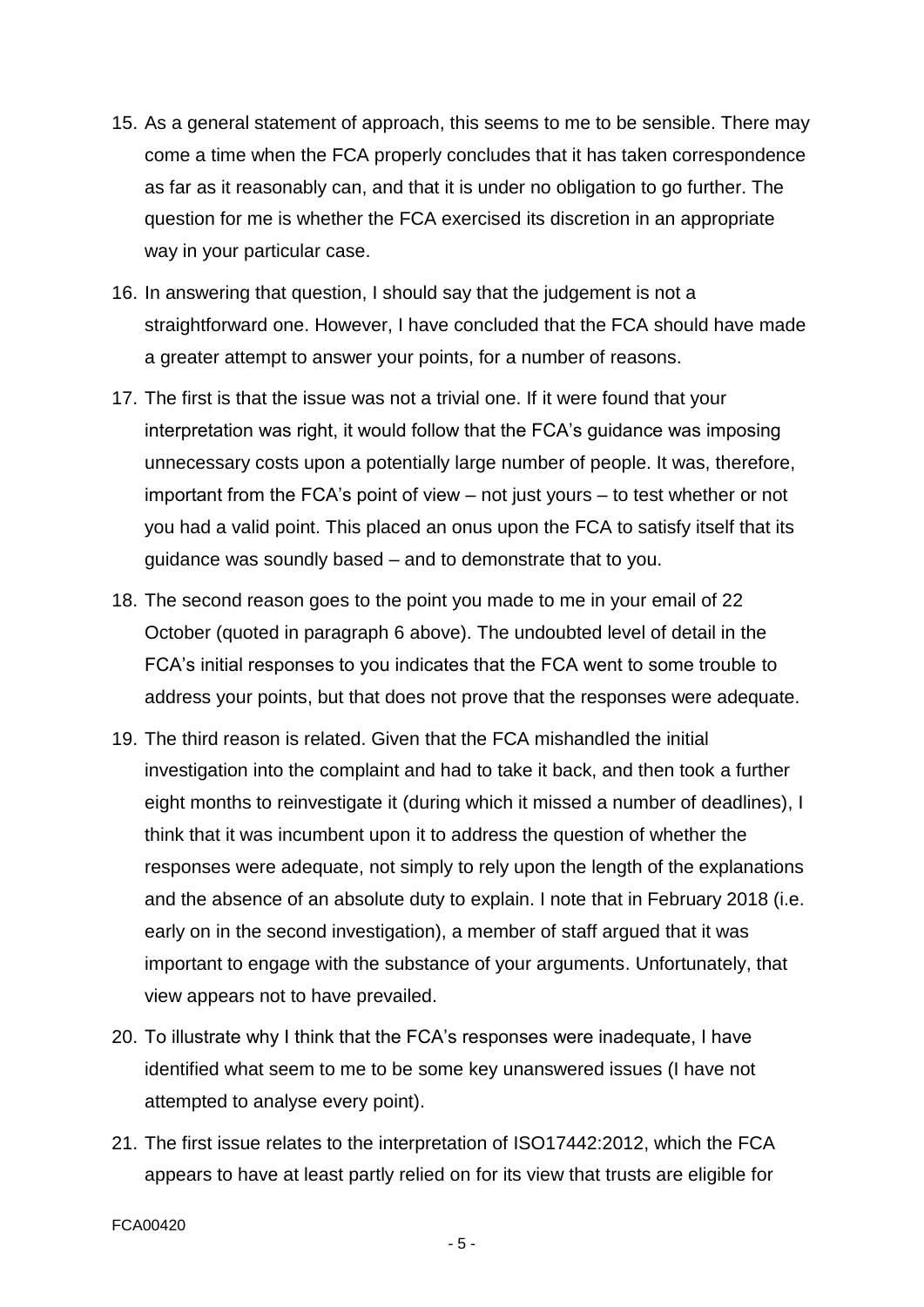- 15. As a general statement of approach, this seems to me to be sensible. There may come a time when the FCA properly concludes that it has taken correspondence as far as it reasonably can, and that it is under no obligation to go further. The question for me is whether the FCA exercised its discretion in an appropriate way in your particular case.
- 16. In answering that question, I should say that the judgement is not a straightforward one. However, I have concluded that the FCA should have made a greater attempt to answer your points, for a number of reasons.
- 17. The first is that the issue was not a trivial one. If it were found that your interpretation was right, it would follow that the FCA's guidance was imposing unnecessary costs upon a potentially large number of people. It was, therefore, important from the FCA's point of view – not just yours – to test whether or not you had a valid point. This placed an onus upon the FCA to satisfy itself that its guidance was soundly based – and to demonstrate that to you.
- 18. The second reason goes to the point you made to me in your email of 22 October (quoted in paragraph 6 above). The undoubted level of detail in the FCA's initial responses to you indicates that the FCA went to some trouble to address your points, but that does not prove that the responses were adequate.
- 19. The third reason is related. Given that the FCA mishandled the initial investigation into the complaint and had to take it back, and then took a further eight months to reinvestigate it (during which it missed a number of deadlines), I think that it was incumbent upon it to address the question of whether the responses were adequate, not simply to rely upon the length of the explanations and the absence of an absolute duty to explain. I note that in February 2018 (i.e. early on in the second investigation), a member of staff argued that it was important to engage with the substance of your arguments. Unfortunately, that view appears not to have prevailed.
- 20. To illustrate why I think that the FCA's responses were inadequate, I have identified what seem to me to be some key unanswered issues (I have not attempted to analyse every point).
- 21. The first issue relates to the interpretation of ISO17442:2012, which the FCA appears to have at least partly relied on for its view that trusts are eligible for

- 5 -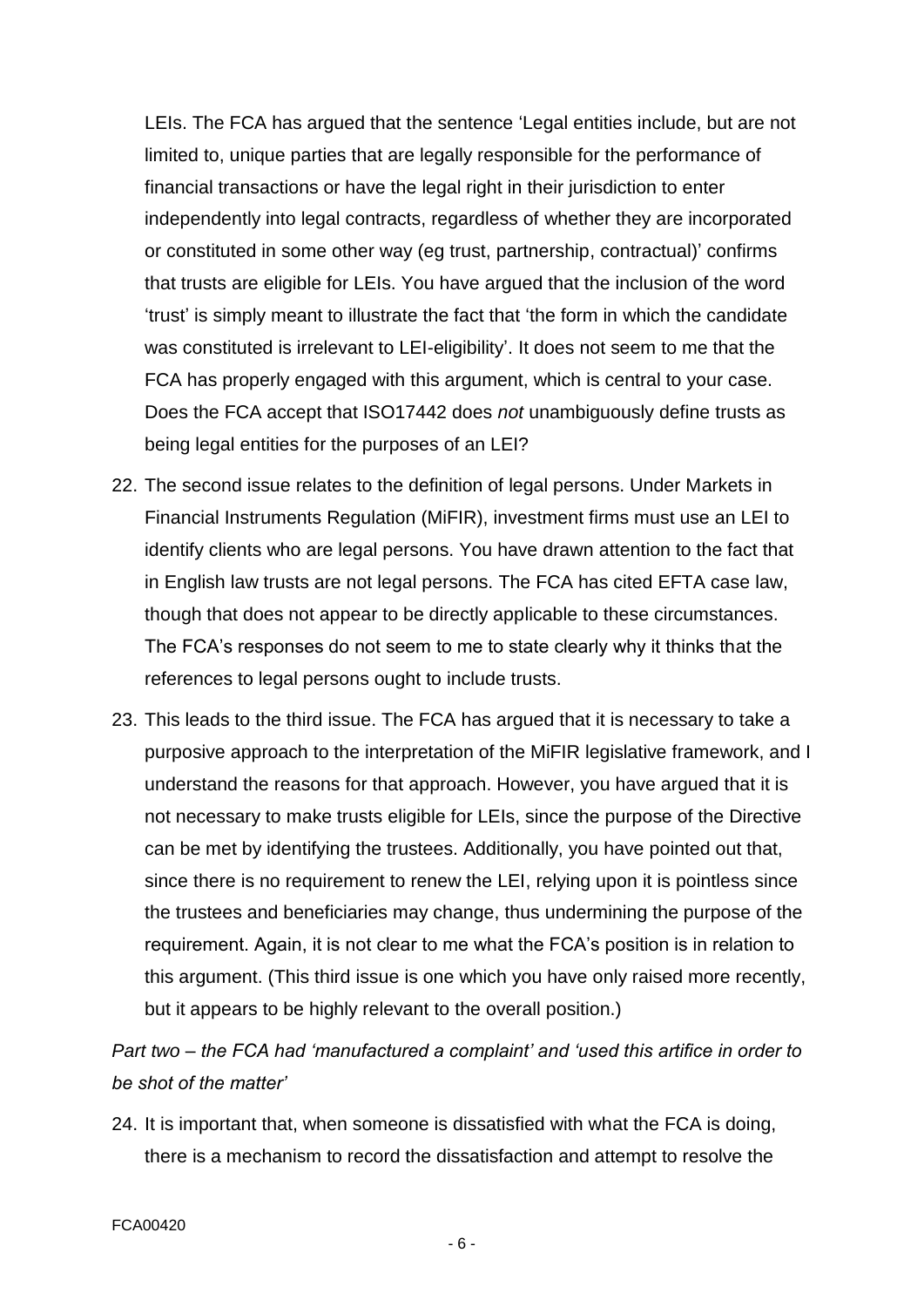LEIs. The FCA has argued that the sentence 'Legal entities include, but are not limited to, unique parties that are legally responsible for the performance of financial transactions or have the legal right in their jurisdiction to enter independently into legal contracts, regardless of whether they are incorporated or constituted in some other way (eg trust, partnership, contractual)' confirms that trusts are eligible for LEIs. You have argued that the inclusion of the word 'trust' is simply meant to illustrate the fact that 'the form in which the candidate was constituted is irrelevant to LEI-eligibility'. It does not seem to me that the FCA has properly engaged with this argument, which is central to your case. Does the FCA accept that ISO17442 does *not* unambiguously define trusts as being legal entities for the purposes of an LEI?

- 22. The second issue relates to the definition of legal persons. Under Markets in Financial Instruments Regulation (MiFIR), investment firms must use an LEI to identify clients who are legal persons. You have drawn attention to the fact that in English law trusts are not legal persons. The FCA has cited EFTA case law, though that does not appear to be directly applicable to these circumstances. The FCA's responses do not seem to me to state clearly why it thinks that the references to legal persons ought to include trusts.
- 23. This leads to the third issue. The FCA has argued that it is necessary to take a purposive approach to the interpretation of the MiFIR legislative framework, and I understand the reasons for that approach. However, you have argued that it is not necessary to make trusts eligible for LEIs, since the purpose of the Directive can be met by identifying the trustees. Additionally, you have pointed out that, since there is no requirement to renew the LEI, relying upon it is pointless since the trustees and beneficiaries may change, thus undermining the purpose of the requirement. Again, it is not clear to me what the FCA's position is in relation to this argument. (This third issue is one which you have only raised more recently, but it appears to be highly relevant to the overall position.)

*Part two – the FCA had 'manufactured a complaint' and 'used this artifice in order to be shot of the matter'*

24. It is important that, when someone is dissatisfied with what the FCA is doing, there is a mechanism to record the dissatisfaction and attempt to resolve the